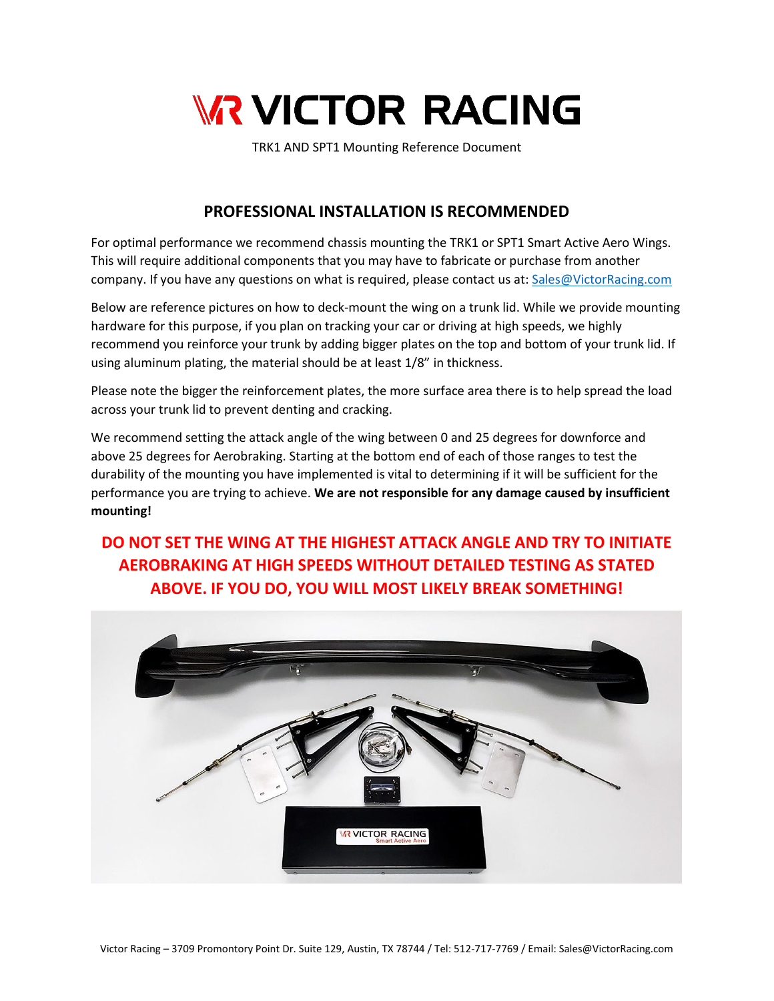

TRK1 AND SPT1 Mounting Reference Document

## **PROFESSIONAL INSTALLATION IS RECOMMENDED**

For optimal performance we recommend chassis mounting the TRK1 or SPT1 Smart Active Aero Wings. This will require additional components that you may have to fabricate or purchase from another company. If you have any questions on what is required, please contact us at: [Sales@VictorRacing.com](mailto:Sales@VictorRacing.com)

Below are reference pictures on how to deck-mount the wing on a trunk lid. While we provide mounting hardware for this purpose, if you plan on tracking your car or driving at high speeds, we highly recommend you reinforce your trunk by adding bigger plates on the top and bottom of your trunk lid. If using aluminum plating, the material should be at least 1/8" in thickness.

Please note the bigger the reinforcement plates, the more surface area there is to help spread the load across your trunk lid to prevent denting and cracking.

We recommend setting the attack angle of the wing between 0 and 25 degrees for downforce and above 25 degrees for Aerobraking. Starting at the bottom end of each of those ranges to test the durability of the mounting you have implemented is vital to determining if it will be sufficient for the performance you are trying to achieve. **We are not responsible for any damage caused by insufficient mounting!**

## **DO NOT SET THE WING AT THE HIGHEST ATTACK ANGLE AND TRY TO INITIATE AEROBRAKING AT HIGH SPEEDS WITHOUT DETAILED TESTING AS STATED ABOVE. IF YOU DO, YOU WILL MOST LIKELY BREAK SOMETHING!**